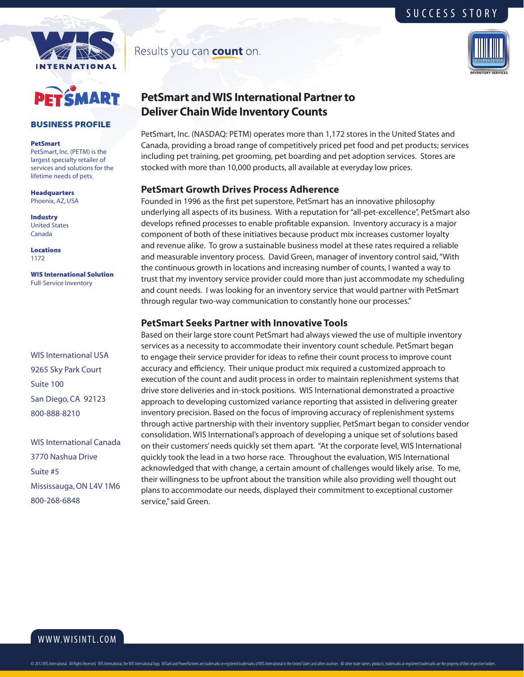



#### BUSINESS PROFILE

#### PetSmart

PetSmart, Inc. (PETM) is the largest specialty retailer of services and solutions for the lifetime needs of pets.

Headquarters Phoenix, AZ, USA

Industry United States Canada

Locations 1172

WIS International Solution Full-Service Inventory

WIS International USA 9265 Sky Park Court Suite 100 San Diego, CA 92123 800-888-8210

WIS International Canada 3770 Nashua Drive Suite #5 Mississauga, ON L4V 1M6 800-268-6848

Results you can **count** on.



SUCCESS STORY

# **PetSmart and WIS International Partner to Deliver Chain Wide Inventory Counts**

PetSmart, Inc. (NASDAQ: PETM) operates more than 1,172 stores in the United States and Canada, providing a broad range of competitively priced pet food and pet products; services including pet training, pet grooming, pet boarding and pet adoption services. Stores are stocked with more than 10,000 products, all available at everyday low prices.

#### **PetSmart Growth Drives Process Adherence**

Founded in 1996 as the first pet superstore, PetSmart has an innovative philosophy underlying all aspects of its business. With a reputation for "all-pet-excellence", PetSmart also develops refined processes to enable profitable expansion. Inventory accuracy is a major component of both of these initiatives because product mix increases customer loyalty and revenue alike. To grow a sustainable business model at these rates required a reliable and measurable inventory process. David Green, manager of inventory control said, "With the continuous growth in locations and increasing number of counts, I wanted a way to trust that my inventory service provider could more than just accommodate my scheduling and count needs. I was looking for an inventory service that would partner with PetSmart through regular two-way communication to constantly hone our processes."

### **PetSmart Seeks Partner with Innovative Tools**

Based on their large store count PetSmart had always viewed the use of multiple inventory services as a necessity to accommodate their inventory count schedule. PetSmart began to engage their service provider for ideas to refine their count process to improve count accuracy and efficiency. Their unique product mix required a customized approach to execution of the count and audit process in order to maintain replenishment systems that drive store deliveries and in-stock positions. WIS International demonstrated a proactive approach to developing customized variance reporting that assisted in delivering greater inventory precision. Based on the focus of improving accuracy of replenishment systems through active partnership with their inventory supplier, PetSmart began to consider vendor consolidation. WIS International's approach of developing a unique set of solutions based on their customers' needs quickly set them apart. "At the corporate level, WIS International quickly took the lead in a two horse race. Throughout the evaluation, WIS International acknowledged that with change, a certain amount of challenges would likely arise. To me, their willingness to be upfront about the transition while also providing well thought out plans to accommodate our needs, displayed their commitment to exceptional customer service," said Green.

# www.wisintl.com